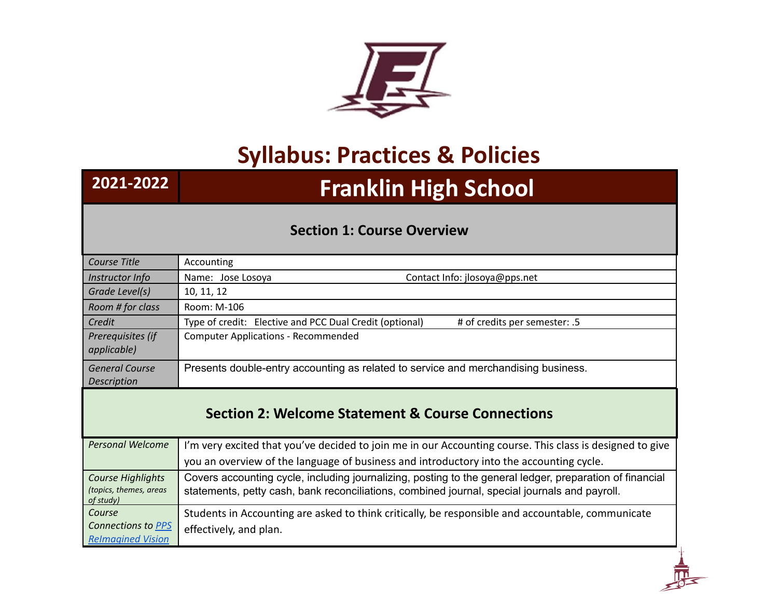

## **Syllabus: Practices & Policies**

## **2021-2022 Franklin High School**

## **Section 1: Course Overview**

| Course Title                                                    | Accounting                                                                                                                                                                                                |
|-----------------------------------------------------------------|-----------------------------------------------------------------------------------------------------------------------------------------------------------------------------------------------------------|
| Instructor Info                                                 | Name: Jose Losoya<br>Contact Info: jlosoya@pps.net                                                                                                                                                        |
| Grade Level(s)                                                  | 10, 11, 12                                                                                                                                                                                                |
| Room # for class                                                | Room: M-106                                                                                                                                                                                               |
| Credit                                                          | Type of credit: Elective and PCC Dual Credit (optional)<br># of credits per semester: .5                                                                                                                  |
| Prerequisites (if<br>applicable)                                | <b>Computer Applications - Recommended</b>                                                                                                                                                                |
| <b>General Course</b>                                           | Presents double-entry accounting as related to service and merchandising business.                                                                                                                        |
| Description                                                     |                                                                                                                                                                                                           |
|                                                                 | <b>Section 2: Welcome Statement &amp; Course Connections</b>                                                                                                                                              |
| <b>Personal Welcome</b>                                         | I'm very excited that you've decided to join me in our Accounting course. This class is designed to give                                                                                                  |
|                                                                 | you an overview of the language of business and introductory into the accounting cycle.                                                                                                                   |
| <b>Course Highlights</b><br>(topics, themes, areas<br>of study) | Covers accounting cycle, including journalizing, posting to the general ledger, preparation of financial<br>statements, petty cash, bank reconciliations, combined journal, special journals and payroll. |
| Course                                                          | Students in Accounting are asked to think critically, be responsible and accountable, communicate                                                                                                         |
| Connections to PPS<br><b>Relmagined Vision</b>                  | effectively, and plan.                                                                                                                                                                                    |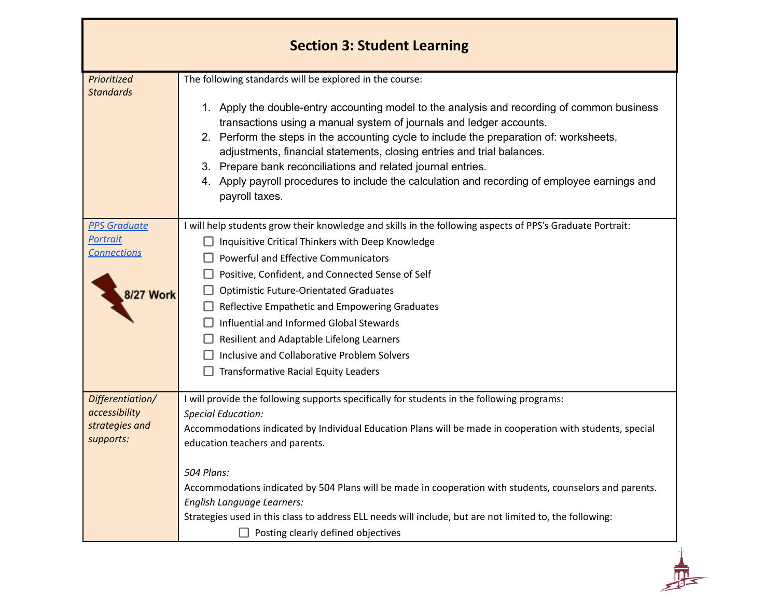| <b>Section 3: Student Learning</b>                                        |                                                                                                                                                                                                                                                                                                                                                                                                                                                                                                                                                                                       |
|---------------------------------------------------------------------------|---------------------------------------------------------------------------------------------------------------------------------------------------------------------------------------------------------------------------------------------------------------------------------------------------------------------------------------------------------------------------------------------------------------------------------------------------------------------------------------------------------------------------------------------------------------------------------------|
| Prioritized<br><b>Standards</b>                                           | The following standards will be explored in the course:<br>1. Apply the double-entry accounting model to the analysis and recording of common business<br>transactions using a manual system of journals and ledger accounts.<br>2. Perform the steps in the accounting cycle to include the preparation of: worksheets,<br>adjustments, financial statements, closing entries and trial balances.<br>3. Prepare bank reconciliations and related journal entries.<br>4. Apply payroll procedures to include the calculation and recording of employee earnings and<br>payroll taxes. |
| <b>PPS Graduate</b><br><b>Portrait</b><br><b>Connections</b><br>8/27 Work | I will help students grow their knowledge and skills in the following aspects of PPS's Graduate Portrait:<br>Inquisitive Critical Thinkers with Deep Knowledge<br>Powerful and Effective Communicators<br>Positive, Confident, and Connected Sense of Self<br><b>Optimistic Future-Orientated Graduates</b><br>Reflective Empathetic and Empowering Graduates<br>Influential and Informed Global Stewards<br>Resilient and Adaptable Lifelong Learners<br>Inclusive and Collaborative Problem Solvers<br><b>Transformative Racial Equity Leaders</b>                                  |
| Differentiation/<br>accessibility<br>strategies and<br>supports:          | I will provide the following supports specifically for students in the following programs:<br><b>Special Education:</b><br>Accommodations indicated by Individual Education Plans will be made in cooperation with students, special<br>education teachers and parents.<br>504 Plans:<br>Accommodations indicated by 504 Plans will be made in cooperation with students, counselors and parents.<br>English Language Learners:<br>Strategies used in this class to address ELL needs will include, but are not limited to, the following:<br>Posting clearly defined objectives      |

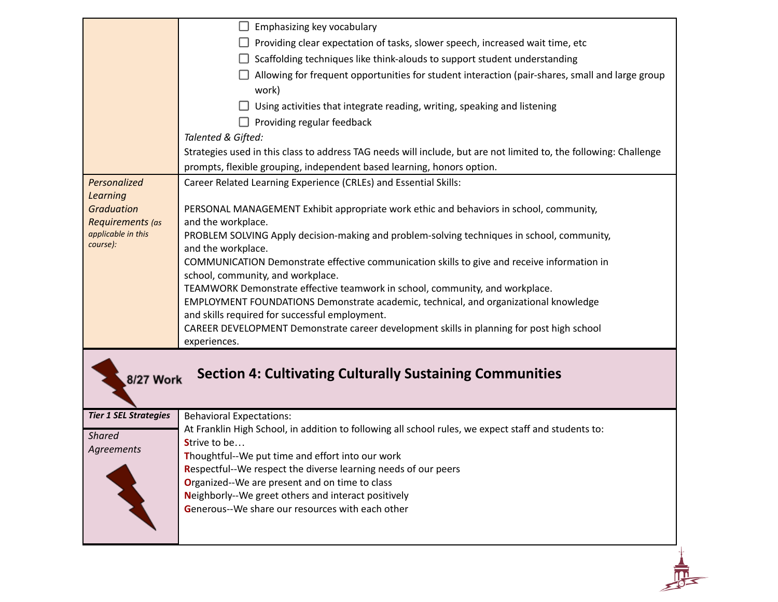|                                           | Emphasizing key vocabulary<br>u.                                                                                                        |
|-------------------------------------------|-----------------------------------------------------------------------------------------------------------------------------------------|
|                                           | Providing clear expectation of tasks, slower speech, increased wait time, etc                                                           |
|                                           | Scaffolding techniques like think-alouds to support student understanding                                                               |
|                                           | Allowing for frequent opportunities for student interaction (pair-shares, small and large group                                         |
|                                           | work)                                                                                                                                   |
|                                           | Using activities that integrate reading, writing, speaking and listening                                                                |
|                                           | Providing regular feedback                                                                                                              |
|                                           | Talented & Gifted:                                                                                                                      |
|                                           | Strategies used in this class to address TAG needs will include, but are not limited to, the following: Challenge                       |
|                                           | prompts, flexible grouping, independent based learning, honors option.                                                                  |
| Personalized                              | Career Related Learning Experience (CRLEs) and Essential Skills:                                                                        |
| <b>Learning</b>                           |                                                                                                                                         |
| <b>Graduation</b>                         | PERSONAL MANAGEMENT Exhibit appropriate work ethic and behaviors in school, community,                                                  |
| Requirements (as<br>applicable in this    | and the workplace.                                                                                                                      |
| course):                                  | PROBLEM SOLVING Apply decision-making and problem-solving techniques in school, community,<br>and the workplace.                        |
|                                           | COMMUNICATION Demonstrate effective communication skills to give and receive information in                                             |
|                                           | school, community, and workplace.                                                                                                       |
|                                           | TEAMWORK Demonstrate effective teamwork in school, community, and workplace.                                                            |
|                                           | EMPLOYMENT FOUNDATIONS Demonstrate academic, technical, and organizational knowledge                                                    |
|                                           | and skills required for successful employment.                                                                                          |
|                                           | CAREER DEVELOPMENT Demonstrate career development skills in planning for post high school                                               |
|                                           | experiences.                                                                                                                            |
| 8/27 Work<br><b>Tier 1 SEL Strategies</b> | <b>Section 4: Cultivating Culturally Sustaining Communities</b>                                                                         |
|                                           | <b>Behavioral Expectations:</b><br>At Franklin High School, in addition to following all school rules, we expect staff and students to: |
| <b>Shared</b>                             | Strive to be                                                                                                                            |
| Agreements                                | Thoughtful--We put time and effort into our work                                                                                        |
|                                           | Respectful--We respect the diverse learning needs of our peers                                                                          |
|                                           | Organized--We are present and on time to class                                                                                          |
|                                           | Neighborly--We greet others and interact positively                                                                                     |
|                                           | Generous--We share our resources with each other                                                                                        |
|                                           |                                                                                                                                         |
|                                           |                                                                                                                                         |
|                                           |                                                                                                                                         |
|                                           |                                                                                                                                         |
|                                           |                                                                                                                                         |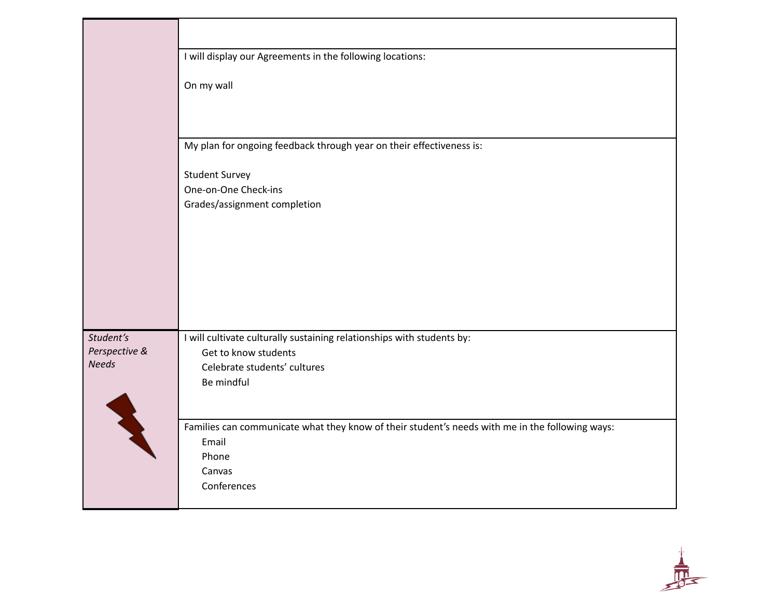|                               | I will display our Agreements in the following locations:                                       |
|-------------------------------|-------------------------------------------------------------------------------------------------|
|                               | On my wall                                                                                      |
|                               |                                                                                                 |
|                               | My plan for ongoing feedback through year on their effectiveness is:                            |
|                               | <b>Student Survey</b>                                                                           |
|                               | One-on-One Check-ins                                                                            |
|                               | Grades/assignment completion                                                                    |
|                               |                                                                                                 |
|                               |                                                                                                 |
|                               |                                                                                                 |
|                               |                                                                                                 |
|                               |                                                                                                 |
|                               |                                                                                                 |
| Student's                     | I will cultivate culturally sustaining relationships with students by:                          |
| Perspective &<br><b>Needs</b> | Get to know students<br>Celebrate students' cultures                                            |
|                               | Be mindful                                                                                      |
|                               |                                                                                                 |
|                               |                                                                                                 |
|                               | Families can communicate what they know of their student's needs with me in the following ways: |
|                               | Email                                                                                           |
|                               | Phone<br>Canvas                                                                                 |
|                               | Conferences                                                                                     |
|                               |                                                                                                 |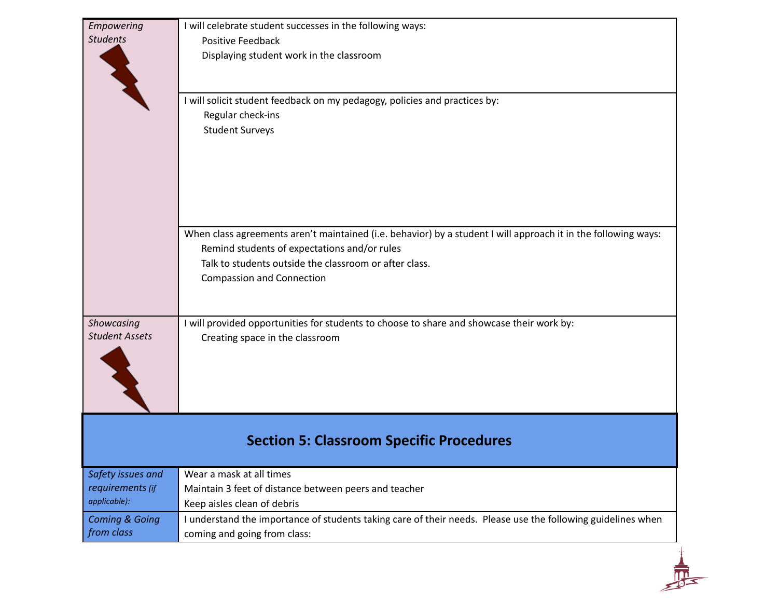| Empowering                          | I will celebrate student successes in the following ways:                                                      |
|-------------------------------------|----------------------------------------------------------------------------------------------------------------|
| <b>Students</b>                     | Positive Feedback                                                                                              |
|                                     | Displaying student work in the classroom                                                                       |
|                                     |                                                                                                                |
|                                     | I will solicit student feedback on my pedagogy, policies and practices by:                                     |
|                                     | Regular check-ins                                                                                              |
|                                     | <b>Student Surveys</b>                                                                                         |
|                                     |                                                                                                                |
|                                     |                                                                                                                |
|                                     |                                                                                                                |
|                                     | When class agreements aren't maintained (i.e. behavior) by a student I will approach it in the following ways: |
|                                     | Remind students of expectations and/or rules                                                                   |
|                                     | Talk to students outside the classroom or after class.                                                         |
|                                     | <b>Compassion and Connection</b>                                                                               |
|                                     |                                                                                                                |
| Showcasing<br><b>Student Assets</b> | I will provided opportunities for students to choose to share and showcase their work by:                      |
|                                     | Creating space in the classroom                                                                                |
|                                     |                                                                                                                |
|                                     |                                                                                                                |
|                                     |                                                                                                                |
|                                     | <b>Section 5: Classroom Specific Procedures</b>                                                                |
|                                     |                                                                                                                |
| Safety issues and                   | Wear a mask at all times                                                                                       |
| requirements (if                    | Maintain 3 feet of distance between peers and teacher                                                          |
| applicable):                        | Keep aisles clean of debris                                                                                    |
| <b>Coming &amp; Going</b>           | I understand the importance of students taking care of their needs. Please use the following guidelines when   |
|                                     |                                                                                                                |
| from class                          | coming and going from class:                                                                                   |
|                                     |                                                                                                                |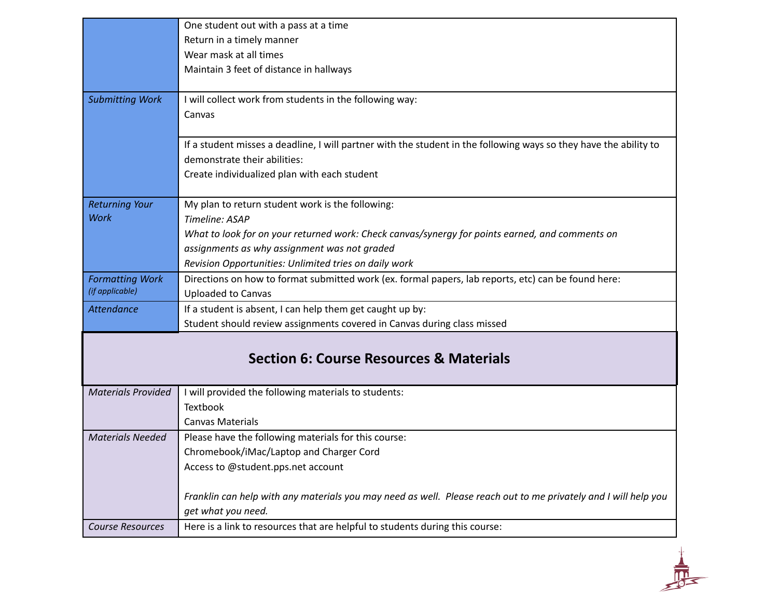|                                           | One student out with a pass at a time                                                                             |
|-------------------------------------------|-------------------------------------------------------------------------------------------------------------------|
|                                           | Return in a timely manner                                                                                         |
|                                           | Wear mask at all times                                                                                            |
|                                           | Maintain 3 feet of distance in hallways                                                                           |
|                                           |                                                                                                                   |
| <b>Submitting Work</b>                    | I will collect work from students in the following way:                                                           |
|                                           | Canvas                                                                                                            |
|                                           |                                                                                                                   |
|                                           | If a student misses a deadline, I will partner with the student in the following ways so they have the ability to |
|                                           | demonstrate their abilities:                                                                                      |
|                                           | Create individualized plan with each student                                                                      |
|                                           |                                                                                                                   |
| <b>Returning Your</b>                     | My plan to return student work is the following:                                                                  |
| Work                                      | Timeline: ASAP                                                                                                    |
|                                           | What to look for on your returned work: Check canvas/synergy for points earned, and comments on                   |
|                                           | assignments as why assignment was not graded                                                                      |
|                                           | Revision Opportunities: Unlimited tries on daily work                                                             |
| <b>Formatting Work</b><br>(if applicable) | Directions on how to format submitted work (ex. formal papers, lab reports, etc) can be found here:               |
|                                           | <b>Uploaded to Canvas</b>                                                                                         |
| Attendance                                | If a student is absent, I can help them get caught up by:                                                         |
|                                           | Student should review assignments covered in Canvas during class missed                                           |
|                                           |                                                                                                                   |
|                                           | <b>Section 6: Course Resources &amp; Materials</b>                                                                |
|                                           |                                                                                                                   |
| <b>Materials Provided</b>                 | I will provided the following materials to students:                                                              |
|                                           | <b>Textbook</b>                                                                                                   |
|                                           | <b>Canvas Materials</b>                                                                                           |
| <b>Materials Needed</b>                   | Please have the following materials for this course:                                                              |
|                                           | Chromebook/iMac/Laptop and Charger Cord                                                                           |
|                                           | Access to @student.pps.net account                                                                                |
|                                           |                                                                                                                   |
|                                           | Franklin can help with any materials you may need as well. Please reach out to me privately and I will help you   |
|                                           | get what you need.                                                                                                |
| <b>Course Resources</b>                   | Here is a link to resources that are helpful to students during this course:                                      |

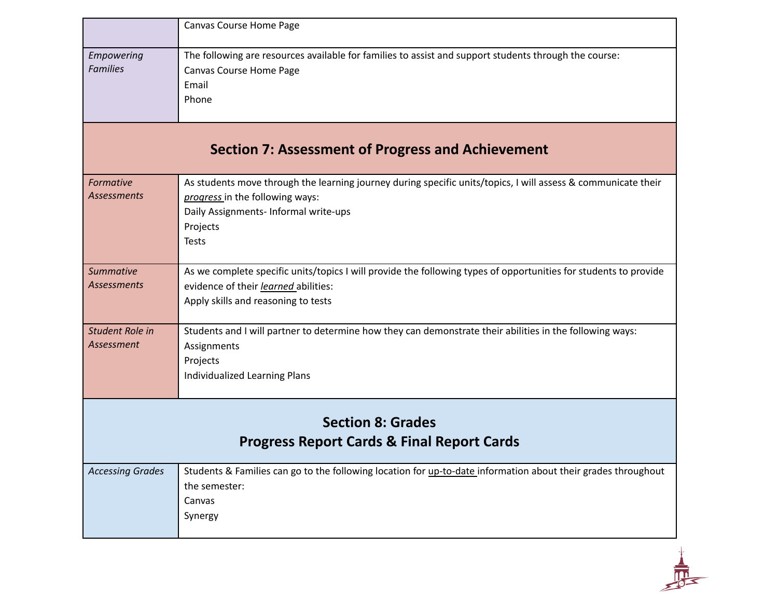|                                                                                   | Canvas Course Home Page                                                                                                                                                                                               |
|-----------------------------------------------------------------------------------|-----------------------------------------------------------------------------------------------------------------------------------------------------------------------------------------------------------------------|
| Empowering<br><b>Families</b>                                                     | The following are resources available for families to assist and support students through the course:<br>Canvas Course Home Page<br>Email<br>Phone                                                                    |
| <b>Section 7: Assessment of Progress and Achievement</b>                          |                                                                                                                                                                                                                       |
| Formative<br><b>Assessments</b>                                                   | As students move through the learning journey during specific units/topics, I will assess & communicate their<br>progress in the following ways:<br>Daily Assignments- Informal write-ups<br>Projects<br><b>Tests</b> |
| <b>Summative</b><br><b>Assessments</b>                                            | As we complete specific units/topics I will provide the following types of opportunities for students to provide<br>evidence of their learned abilities:<br>Apply skills and reasoning to tests                       |
| Student Role in<br>Assessment                                                     | Students and I will partner to determine how they can demonstrate their abilities in the following ways:<br>Assignments<br>Projects<br>Individualized Learning Plans                                                  |
| <b>Section 8: Grades</b><br><b>Progress Report Cards &amp; Final Report Cards</b> |                                                                                                                                                                                                                       |
| <b>Accessing Grades</b>                                                           | Students & Families can go to the following location for up-to-date information about their grades throughout<br>the semester:<br>Canvas<br>Synergy                                                                   |